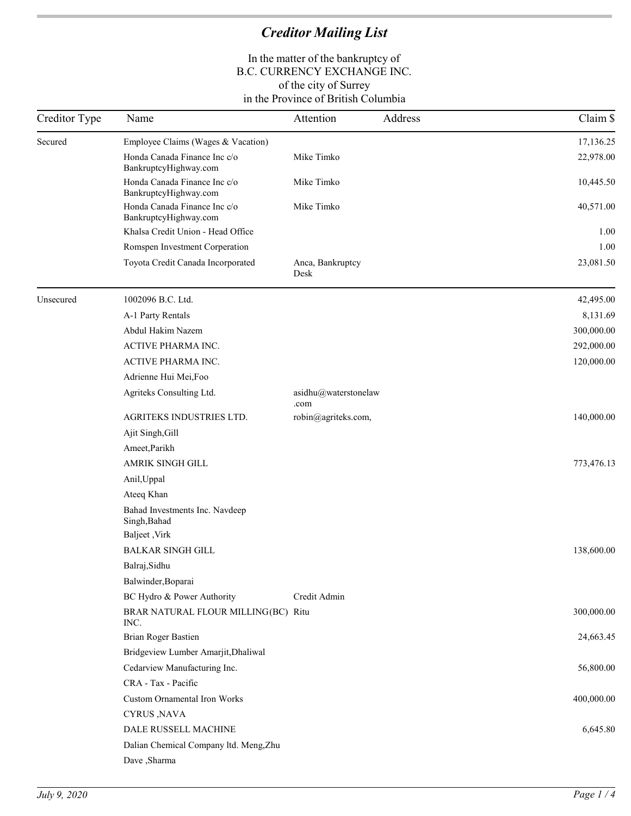|           |                                                                           |                              | Claim \$   |
|-----------|---------------------------------------------------------------------------|------------------------------|------------|
| Secured   | Employee Claims (Wages & Vacation)                                        |                              | 17,136.25  |
|           | Honda Canada Finance Inc c/o<br>BankruptcyHighway.com                     | Mike Timko                   | 22,978.00  |
|           | Honda Canada Finance Inc c/o<br>BankruptcyHighway.com                     | Mike Timko                   | 10,445.50  |
|           | Honda Canada Finance Inc c/o<br>BankruptcyHighway.com                     | Mike Timko                   | 40,571.00  |
|           | Khalsa Credit Union - Head Office                                         |                              | 1.00       |
|           | Romspen Investment Corperation                                            |                              | 1.00       |
|           | Toyota Credit Canada Incorporated                                         | Anca, Bankruptcy<br>Desk     | 23,081.50  |
| Unsecured | 1002096 B.C. Ltd.                                                         |                              | 42,495.00  |
|           | A-1 Party Rentals                                                         |                              | 8,131.69   |
|           | Abdul Hakim Nazem                                                         |                              | 300,000.00 |
|           | ACTIVE PHARMA INC.                                                        |                              | 292,000.00 |
|           | ACTIVE PHARMA INC.                                                        |                              | 120,000.00 |
|           | Adrienne Hui Mei, Foo                                                     |                              |            |
|           | Agriteks Consulting Ltd.                                                  | asidhu@waterstonelaw<br>.com |            |
|           | AGRITEKS INDUSTRIES LTD.                                                  | robin@agriteks.com,          | 140,000.00 |
|           | Ajit Singh, Gill                                                          |                              |            |
|           | Ameet, Parikh                                                             |                              |            |
|           | AMRIK SINGH GILL                                                          |                              | 773,476.13 |
|           | Anil, Uppal                                                               |                              |            |
|           | Ateeq Khan                                                                |                              |            |
|           | Bahad Investments Inc. Navdeep<br>Singh, Bahad                            |                              |            |
|           | <b>Baljeet</b> , Virk                                                     |                              |            |
|           | <b>BALKAR SINGH GILL</b>                                                  |                              | 138,600.00 |
|           | Balraj, Sidhu                                                             |                              |            |
|           | Balwinder, Boparai                                                        |                              |            |
|           | BC Hydro & Power Authority<br>BRAR NATURAL FLOUR MILLING(BC) Ritu<br>INC. | Credit Admin                 | 300,000.00 |
|           | Brian Roger Bastien                                                       |                              | 24,663.45  |
|           | Bridgeview Lumber Amarjit, Dhaliwal                                       |                              |            |
|           | Cedarview Manufacturing Inc.                                              |                              | 56,800.00  |
|           | CRA - Tax - Pacific                                                       |                              |            |
|           | Custom Ornamental Iron Works                                              |                              | 400,000.00 |
|           | CYRUS, NAVA                                                               |                              |            |
|           | DALE RUSSELL MACHINE                                                      |                              | 6,645.80   |
|           | Dalian Chemical Company ltd. Meng, Zhu                                    |                              |            |
|           | Dave , Sharma                                                             |                              |            |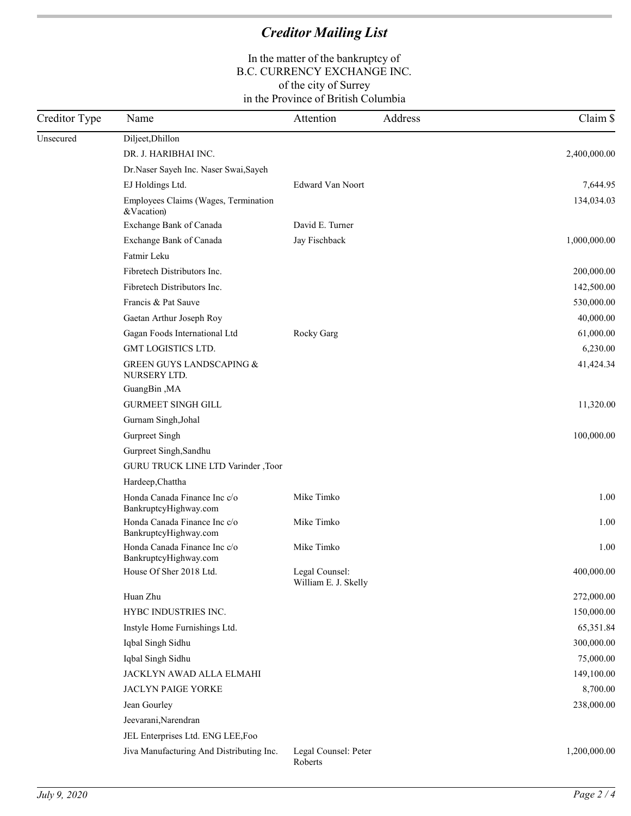| Creditor Type | Name                                                  | Attention<br>Address                   | Claim \$     |
|---------------|-------------------------------------------------------|----------------------------------------|--------------|
| Unsecured     | Diljeet, Dhillon                                      |                                        |              |
|               | DR. J. HARIBHAI INC.                                  |                                        | 2,400,000.00 |
|               | Dr.Naser Sayeh Inc. Naser Swai, Sayeh                 |                                        |              |
|               | EJ Holdings Ltd.                                      | Edward Van Noort                       | 7,644.95     |
|               | Employees Claims (Wages, Termination<br>&Vacation)    |                                        | 134,034.03   |
|               | Exchange Bank of Canada                               | David E. Turner                        |              |
|               | Exchange Bank of Canada                               | Jay Fischback                          | 1,000,000.00 |
|               | Fatmir Leku                                           |                                        |              |
|               | Fibretech Distributors Inc.                           |                                        | 200,000.00   |
|               | Fibretech Distributors Inc.                           |                                        | 142,500.00   |
|               | Francis & Pat Sauve                                   |                                        | 530,000.00   |
|               | Gaetan Arthur Joseph Roy                              |                                        | 40,000.00    |
|               | Gagan Foods International Ltd                         | Rocky Garg                             | 61,000.00    |
|               | <b>GMT LOGISTICS LTD.</b>                             |                                        | 6,230.00     |
|               | <b>GREEN GUYS LANDSCAPING &amp;</b><br>NURSERY LTD.   |                                        | 41,424.34    |
|               | GuangBin, MA                                          |                                        |              |
|               | <b>GURMEET SINGH GILL</b>                             |                                        | 11,320.00    |
|               | Gurnam Singh, Johal                                   |                                        |              |
|               | Gurpreet Singh                                        |                                        | 100,000.00   |
|               | Gurpreet Singh, Sandhu                                |                                        |              |
|               | GURU TRUCK LINE LTD Varinder ,Toor                    |                                        |              |
|               | Hardeep, Chattha                                      |                                        |              |
|               | Honda Canada Finance Inc c/o<br>BankruptcyHighway.com | Mike Timko                             | 1.00         |
|               | Honda Canada Finance Inc c/o<br>BankruptcyHighway.com | Mike Timko                             | 1.00         |
|               | Honda Canada Finance Inc c/o<br>BankruptcyHighway.com | Mike Timko                             | 1.00         |
|               | House Of Sher 2018 Ltd.                               | Legal Counsel:<br>William E. J. Skelly | 400,000.00   |
|               | Huan Zhu                                              |                                        | 272,000.00   |
|               | HYBC INDUSTRIES INC.                                  |                                        | 150,000.00   |
|               | Instyle Home Furnishings Ltd.                         |                                        | 65,351.84    |
|               | Iqbal Singh Sidhu                                     |                                        | 300,000.00   |
|               | Iqbal Singh Sidhu                                     |                                        | 75,000.00    |
|               | JACKLYN AWAD ALLA ELMAHI                              |                                        | 149,100.00   |
|               | JACLYN PAIGE YORKE                                    |                                        | 8,700.00     |
|               | Jean Gourley                                          |                                        | 238,000.00   |
|               | Jeevarani, Narendran                                  |                                        |              |
|               | JEL Enterprises Ltd. ENG LEE,Foo                      |                                        |              |
|               | Jiva Manufacturing And Distributing Inc.              | Legal Counsel: Peter<br>Roberts        | 1,200,000.00 |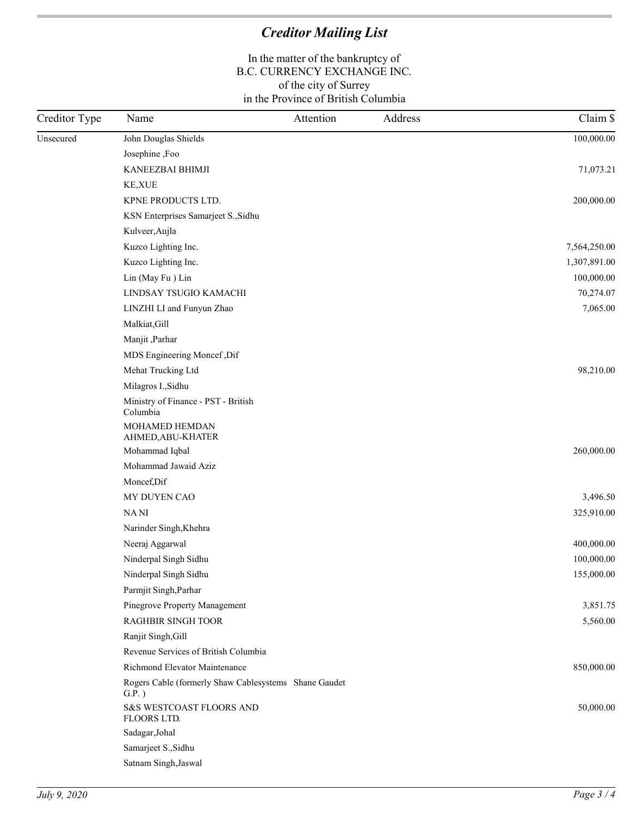| Creditor Type | Name                                                              | Attention | Address | Claim \$     |
|---------------|-------------------------------------------------------------------|-----------|---------|--------------|
| Unsecured     | John Douglas Shields                                              |           |         | 100,000.00   |
|               | Josephine ,Foo                                                    |           |         |              |
|               | KANEEZBAI BHIMJI                                                  |           |         | 71,073.21    |
|               | KE, XUE                                                           |           |         |              |
|               | KPNE PRODUCTS LTD.                                                |           |         | 200,000.00   |
|               | KSN Enterprises Samarjeet S., Sidhu                               |           |         |              |
|               | Kulveer, Aujla                                                    |           |         |              |
|               | Kuzco Lighting Inc.                                               |           |         | 7,564,250.00 |
|               | Kuzco Lighting Inc.                                               |           |         | 1,307,891.00 |
|               | Lin (May Fu) Lin                                                  |           |         | 100,000.00   |
|               | LINDSAY TSUGIO KAMACHI                                            |           |         | 70,274.07    |
|               | LINZHI LI and Funyun Zhao                                         |           |         | 7,065.00     |
|               | Malkiat, Gill                                                     |           |         |              |
|               | Manjit, Parhar                                                    |           |         |              |
|               | MDS Engineering Moncef, Dif                                       |           |         |              |
|               | Mehat Trucking Ltd                                                |           |         | 98,210.00    |
|               | Milagros I., Sidhu                                                |           |         |              |
|               | Ministry of Finance - PST - British<br>Columbia                   |           |         |              |
|               | MOHAMED HEMDAN<br>AHMED, ABU-KHATER                               |           |         |              |
|               | Mohammad Iqbal                                                    |           |         | 260,000.00   |
|               | Mohammad Jawaid Aziz                                              |           |         |              |
|               | Moncef, Dif                                                       |           |         |              |
|               | MY DUYEN CAO                                                      |           |         | 3,496.50     |
|               | NANI                                                              |           |         | 325,910.00   |
|               | Narinder Singh, Khehra                                            |           |         |              |
|               | Neeraj Aggarwal                                                   |           |         | 400,000.00   |
|               | Ninderpal Singh Sidhu                                             |           |         | 100,000.00   |
|               | Ninderpal Singh Sidhu                                             |           |         | 155,000.00   |
|               | Parmjit Singh, Parhar                                             |           |         |              |
|               | Pinegrove Property Management                                     |           |         | 3,851.75     |
|               | <b>RAGHBIR SINGH TOOR</b>                                         |           |         | 5,560.00     |
|               | Ranjit Singh, Gill                                                |           |         |              |
|               | Revenue Services of British Columbia                              |           |         |              |
|               | Richmond Elevator Maintenance                                     |           |         | 850,000.00   |
|               | Rogers Cable (formerly Shaw Cablesystems Shane Gaudet<br>$G.P.$ ) |           |         |              |
|               | S&S WESTCOAST FLOORS AND<br>FLOORS LTD.                           |           |         | 50,000.00    |
|               | Sadagar, Johal                                                    |           |         |              |
|               | Samarjeet S., Sidhu                                               |           |         |              |
|               | Satnam Singh, Jaswal                                              |           |         |              |